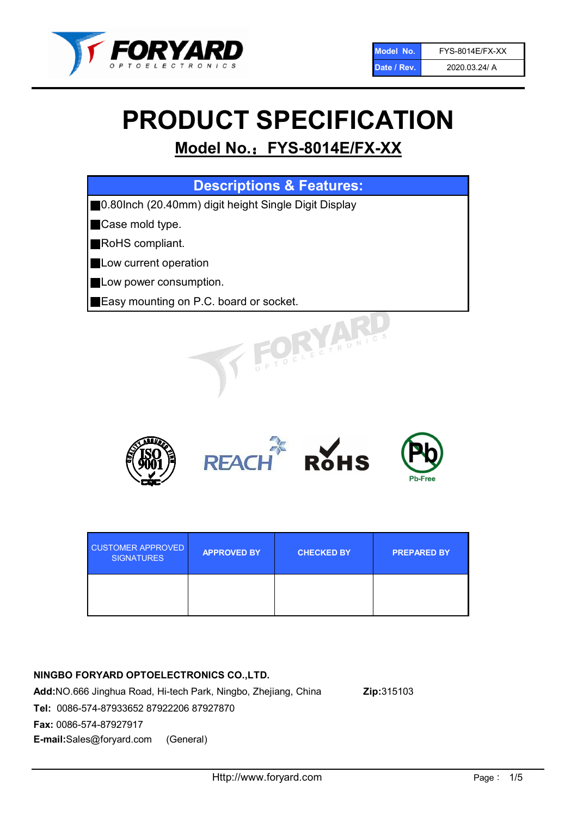

# PRODUCT SPECIFICATION

# Model No.: FYS-8014E/FX-XX

| <b>Descriptions &amp; Features:</b>                   |
|-------------------------------------------------------|
| ■0.80lnch (20.40mm) digit height Single Digit Display |
| Case mold type.                                       |
| RoHS compliant.                                       |
| Low current operation                                 |
| Low power consumption.                                |
| <b>Easy mounting on P.C. board or socket.</b>         |
| WELECTRONIC                                           |



| <b>CUSTOMER APPROVED</b><br><b>SIGNATURES</b> | <b>APPROVED BY</b> | <b>CHECKED BY</b> | <b>PREPARED BY</b> |
|-----------------------------------------------|--------------------|-------------------|--------------------|
|                                               |                    |                   |                    |

# NINGBO FORYARD OPTOELECTRONICS CO.,LTD.

Add:NO.666 Jinghua Road, Hi-tech Park, Ningbo, Zhejiang, China Zip:315103 Tel: 0086-574-87933652 87922206 87927870 Fax: 0086-574-87927917 E-mail:Sales@foryard.com (General)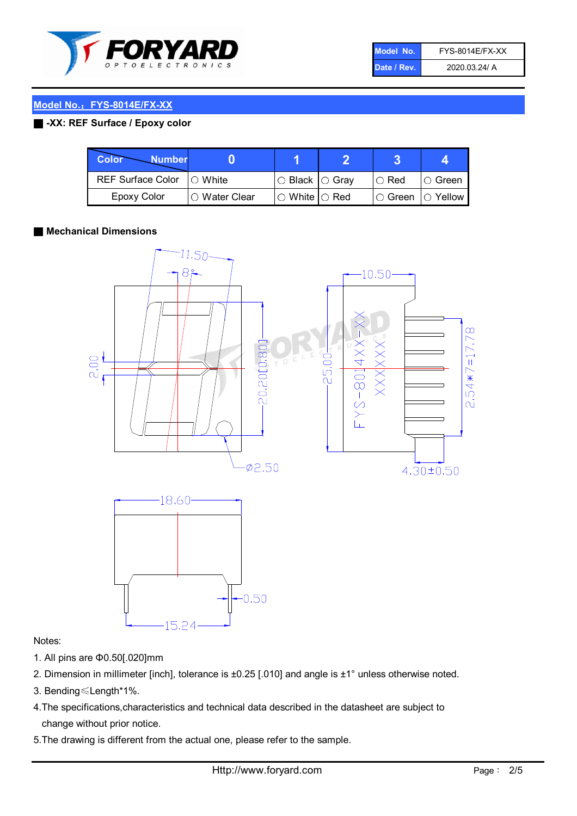

| Model No.   | <b>FYS-8014E/FX-XX</b> |
|-------------|------------------------|
| Date / Rev. | 2020.03.24/ A          |

# Model No.: FYS-8014E/FX-XX

# ■ -XX: REF Surface / Epoxy color

| Color<br><b>Number</b>   |                        |                           |               |                |
|--------------------------|------------------------|---------------------------|---------------|----------------|
| <b>REF Surface Color</b> | $\bigcap$ White        | ○ Black  ○ Gray           | $\circ$ Red   | ○ Green        |
| <b>Epoxy Color</b>       | $\bigcirc$ Water Clear | $\circ$ White $\circ$ Red | $\circ$ Green | $\circ$ Yellow |

## ■ Mechanical Dimensions



#### Notes:

- 1. All pins are Φ0.50[.020]mm
- 2. Dimension in millimeter [inch], tolerance is ±0.25 [.010] and angle is ±1° unless otherwise noted.
- 3. Bending≤Length\*1%.
- 4.The specifications,characteristics and technical data described in the datasheet are subject to change without prior notice.
- 5.The drawing is different from the actual one, please refer to the sample.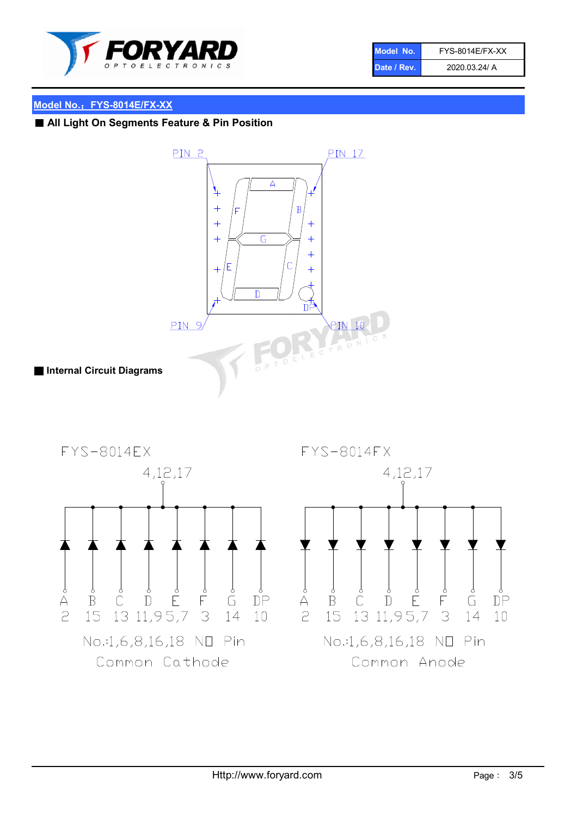

| Model No.   | <b>FYS-8014E/FX-XX</b> |
|-------------|------------------------|
| Date / Rev. | 2020.03.24/ A          |

# Model No.: FYS-8014E/FX-XX

# ■ All Light On Segments Feature & Pin Position



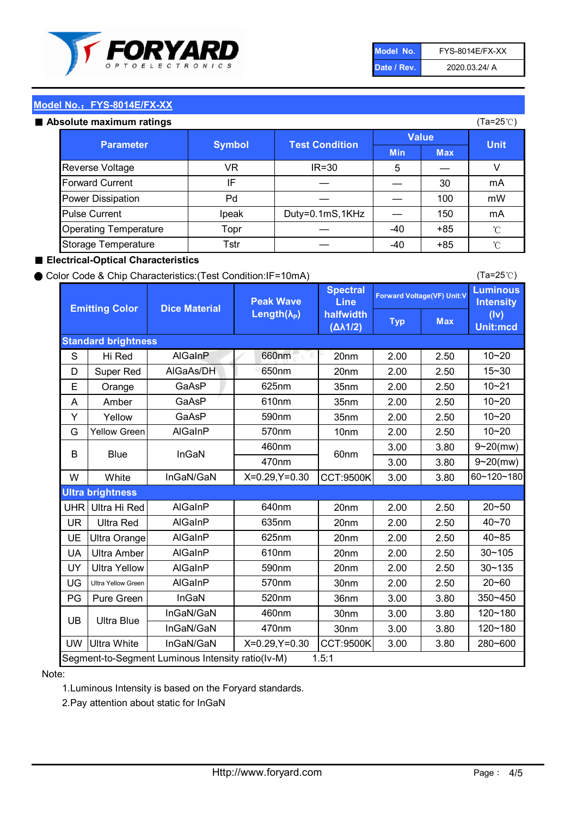

| Model No.   | <b>FYS-8014E/FX-XX</b> |
|-------------|------------------------|
| Date / Rev. | 2020.03.24/ A          |

(Ta=25℃)

# Model No.: FYS-8014E/FX-XX

#### Absolute maximum

| solute maximum ratings       |               |                       |              |            | (Ta=25℃)    |
|------------------------------|---------------|-----------------------|--------------|------------|-------------|
| <b>Parameter</b>             | <b>Symbol</b> | <b>Test Condition</b> | <b>Value</b> |            |             |
|                              |               |                       | <b>Min</b>   | <b>Max</b> | <b>Unit</b> |
| Reverse Voltage              | VR            | $IR = 30$             | 5            |            |             |
| <b>Forward Current</b>       | ΙF            |                       |              | 30         | mA          |
| Power Dissipation            | Pd            |                       |              | 100        | mW          |
| <b>Pulse Current</b>         | Ipeak         | Duty=0.1mS,1KHz       |              | 150        | mA          |
| <b>Operating Temperature</b> | Topr          |                       | $-40$        | $+85$      | °C          |
| Storage Temperature          | Tstr          |                       | $-40$        | $+85$      | °C          |

# ■ Electrical-Optical Characteristics

## ● Color Code & Chip Characteristics:(Test Condition:IF=10mA)

Typ Max S | Hi $\textsf{Red}$  | AlGaInP | 660nm LE 20nm | 2.00 | 2.50 D | Super Red | AIGaAs/DH | 650nm | 20nm | 2.00 | 2.50 E | Orange | GaAsP | 625nm | 35nm | 2.00 | 2.50 A | Amber | GaAsP | 610nm | 35nm | 2.00 | 2.50 Y | Yellow | GaAsP | 590nm | 35nm | 2.00 | 2.50 G Yellow Green AIGaInP | 570nm | 10nm | 2.00 | 2.50 3.00 3.80 3.00 3.80 W | White | InGaN/GaN | X=0.29,Y=0.30 |CCT:9500K| 3.00 | 3.80 UHR Ultra Hi Red | AlGaInP | 640nm | 20nm | 2.00 | 2.50 UR | Ultra Red | AlGaInP | 635nm | 20nm | 2.00 | 2.50 UE Ultra Orange | AIGaInP | 625nm | 20nm | 2.00 | 2.50 UA Ultra Amber | AIGaInP | 610nm | 20nm | 2.00 | 2.50  $UV$  Ultra Yellow  $\vert$  AlGaInP  $\vert$  590nm  $\vert$  20nm  $\vert$  2.00  $\vert$  2.50  $\text{UG}$  Ultra Yellow Green | AIGaInP | 570nm | 30nm | 2.00 | 2.50 PG Pure Green | InGaN | 520nm | 36nm | 3.00 | 3.80 30nm 3.00 3.80 30nm 3.00 3.80 UW |Ultra White | InGaN/GaN | X=0.29,Y=0.30 |CCT:9500K| 3.00 | 3.80 40~85 60~120~180 40~70 Segment-to-Segment Luminous Intensity ratio(Iv-M) 1.5:1 610nm 9~20(mw) 350~450 470nm 120~180 120~180 Ultra Blue InGaN/GaN InGaN/GaN 9~20(mw) 20~50 280~600 570nm | 30nm | 2.00 | 2.50 | 20~60 470nm 590nm InGaN/GaN B Blue I InGaN 570nm | 10nm | 2.00 | 2.50 | 10~20 30~105 30~135 460nm 520nm Ultra brightness **AlGaInP** AlGaInP 60nm AlGaInP 640nm Peak Wave Length $(\lambda_{\rm P})$ UB 460nm 635nm AlGaInP AlGaInP AlGaInP InGaN/GaN AlGaInP 10~20 Luminous **Intensity** (Iv) Unit:mcd AlGainP 660nm GaAsP GaAsP AlGaAs/DH **Spectral** Line halfwidth (∆λ1/2) 10~20 Standard brightness Forward Voltage(VF) Unit:V 15~30 10~20 625nm GaAsP 590nm **Emitting Color Dice Material** 10~21 610nm

# Note:

1.Luminous Intensity is based on the Foryard standards.

2.Pay attention about static for InGaN